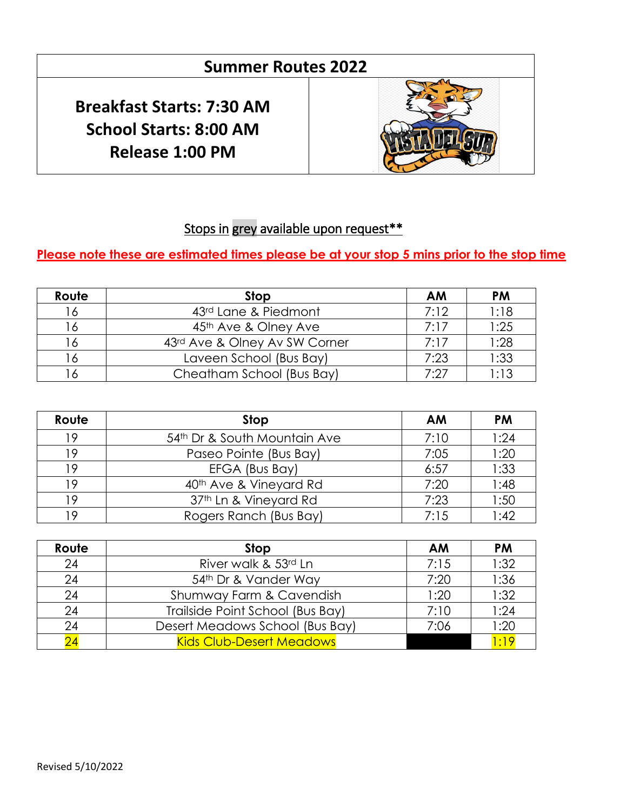## **Summer Routes 2022**

**Breakfast Starts: 7:30 AM School Starts: 8:00 AM Release 1:00 PM**



### Stops in grey available upon request\*\*

#### **Please note these are estimated times please be at your stop 5 mins prior to the stop time**

 $\overline{a}$ 

| Route | Stop                          | AM   | <b>PM</b> |
|-------|-------------------------------|------|-----------|
| 16    | 43rd Lane & Piedmont          | 7:12 | 1:18      |
|       | 45th Ave & Olney Ave          | 7:17 | 1:25      |
|       | 43rd Ave & Olney Av SW Corner | 7:17 | 1:28      |
|       | Laveen School (Bus Bay)       | 7:23 | 1:33      |
|       | Cheatham School (Bus Bay)     | 7:27 | 1:13      |

| Route | Stop                               | <b>AM</b> | <b>PM</b> |
|-------|------------------------------------|-----------|-----------|
| 19    | 54th Dr & South Mountain Ave       | 7:10      | 1:24      |
| 19    | Paseo Pointe (Bus Bay)             | 7:05      | 1:20      |
| 1 Q   | EFGA (Bus Bay)                     | 6:57      | 1:33      |
| 19    | 40 <sup>th</sup> Ave & Vineyard Rd | 7:20      | 1:48      |
| 19    | 37th Ln & Vineyard Rd              | 7:23      | 1:50      |
| 10    | Rogers Ranch (Bus Bay)             | 7:15      | 1:42      |

| Route | Stop                             | <b>AM</b> | <b>PM</b> |
|-------|----------------------------------|-----------|-----------|
| 24    | River walk & 53rd Ln             | 7:15      | 1:32      |
| 24    | 54th Dr & Vander Way             | 7:20      | 1:36      |
| 24    | Shumway Farm & Cavendish         | 1:20      | 1:32      |
| 24    | Trailside Point School (Bus Bay) | 7:10      | 1:24      |
| 24    | Desert Meadows School (Bus Bay)  | 7:06      | 1:20      |
|       | <b>Kids Club-Desert Meadows</b>  |           | 1:19      |